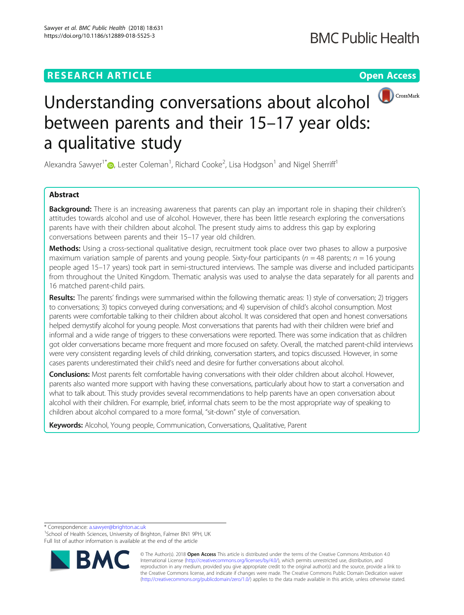# **RESEARCH ARTICLE Example 2014 CONSUMING A RESEARCH ARTICLE**



# Understanding conversations about alcohol between parents and their 15–17 year olds: a qualitative study

Alexandra Sawyer<sup>1\*</sup>�, Lester Coleman<sup>1</sup>, Richard Cooke<sup>2</sup>, Lisa Hodgson<sup>1</sup> and Nigel Sherriff<sup>1</sup>

# Abstract

**Background:** There is an increasing awareness that parents can play an important role in shaping their children's attitudes towards alcohol and use of alcohol. However, there has been little research exploring the conversations parents have with their children about alcohol. The present study aims to address this gap by exploring conversations between parents and their 15–17 year old children.

Methods: Using a cross-sectional qualitative design, recruitment took place over two phases to allow a purposive maximum variation sample of parents and young people. Sixty-four participants ( $n = 48$  parents;  $n = 16$  young people aged 15–17 years) took part in semi-structured interviews. The sample was diverse and included participants from throughout the United Kingdom. Thematic analysis was used to analyse the data separately for all parents and 16 matched parent-child pairs.

Results: The parents' findings were summarised within the following thematic areas: 1) style of conversation; 2) triggers to conversations; 3) topics conveyed during conversations; and 4) supervision of child's alcohol consumption. Most parents were comfortable talking to their children about alcohol. It was considered that open and honest conversations helped demystify alcohol for young people. Most conversations that parents had with their children were brief and informal and a wide range of triggers to these conversations were reported. There was some indication that as children got older conversations became more frequent and more focused on safety. Overall, the matched parent-child interviews were very consistent regarding levels of child drinking, conversation starters, and topics discussed. However, in some cases parents underestimated their child's need and desire for further conversations about alcohol.

Conclusions: Most parents felt comfortable having conversations with their older children about alcohol. However, parents also wanted more support with having these conversations, particularly about how to start a conversation and what to talk about. This study provides several recommendations to help parents have an open conversation about alcohol with their children. For example, brief, informal chats seem to be the most appropriate way of speaking to children about alcohol compared to a more formal, "sit-down" style of conversation.

Keywords: Alcohol, Young people, Communication, Conversations, Qualitative, Parent

\* Correspondence: [a.sawyer@brighton.ac.uk](mailto:a.sawyer@brighton.ac.uk) <sup>1</sup>

<sup>1</sup>School of Health Sciences, University of Brighton, Falmer BN1 9PH, UK Full list of author information is available at the end of the article



© The Author(s). 2018 Open Access This article is distributed under the terms of the Creative Commons Attribution 4.0 International License [\(http://creativecommons.org/licenses/by/4.0/](http://creativecommons.org/licenses/by/4.0/)), which permits unrestricted use, distribution, and reproduction in any medium, provided you give appropriate credit to the original author(s) and the source, provide a link to the Creative Commons license, and indicate if changes were made. The Creative Commons Public Domain Dedication waiver [\(http://creativecommons.org/publicdomain/zero/1.0/](http://creativecommons.org/publicdomain/zero/1.0/)) applies to the data made available in this article, unless otherwise stated.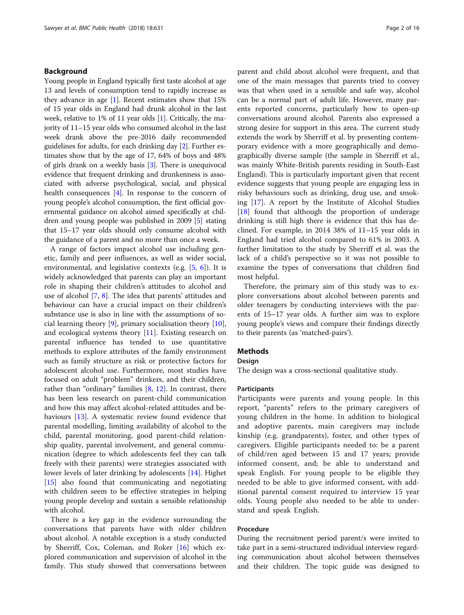# Background

Young people in England typically first taste alcohol at age 13 and levels of consumption tend to rapidly increase as they advance in age  $[1]$  $[1]$  $[1]$ . Recent estimates show that 15% of 15 year olds in England had drunk alcohol in the last week, relative to 1% of 11 year olds [\[1\]](#page-14-0). Critically, the majority of 11–15 year olds who consumed alcohol in the last week drank above the pre-2016 daily recommended guidelines for adults, for each drinking day [\[2](#page-14-0)]. Further estimates show that by the age of 17, 64% of boys and 48% of girls drank on a weekly basis [\[3](#page-14-0)]. There is unequivocal evidence that frequent drinking and drunkenness is associated with adverse psychological, social, and physical health consequences [[4](#page-14-0)]. In response to the concern of young people's alcohol consumption, the first official governmental guidance on alcohol aimed specifically at children and young people was published in 2009 [\[5](#page-14-0)] stating that 15–17 year olds should only consume alcohol with the guidance of a parent and no more than once a week.

A range of factors impact alcohol use including genetic, family and peer influences, as well as wider social, environmental, and legislative contexts (e.g. [[5,](#page-14-0) [6\]](#page-14-0)). It is widely acknowledged that parents can play an important role in shaping their children's attitudes to alcohol and use of alcohol [\[7](#page-14-0), [8](#page-14-0)]. The idea that parents' attitudes and behaviour can have a crucial impact on their children's substance use is also in line with the assumptions of social learning theory  $[9]$ , primary socialisation theory  $[10]$  $[10]$ , and ecological systems theory [\[11](#page-14-0)]. Existing research on parental influence has tended to use quantitative methods to explore attributes of the family environment such as family structure as risk or protective factors for adolescent alcohol use. Furthermore, most studies have focused on adult "problem" drinkers, and their children, rather than "ordinary" families [\[8](#page-14-0), [12\]](#page-14-0). In contrast, there has been less research on parent-child communication and how this may affect alcohol-related attitudes and be-haviours [[13\]](#page-14-0). A systematic review found evidence that parental modelling, limiting availability of alcohol to the child, parental monitoring, good parent-child relationship quality, parental involvement, and general communication (degree to which adolescents feel they can talk freely with their parents) were strategies associated with lower levels of later drinking by adolescents [\[14](#page-14-0)]. Highet [[15\]](#page-15-0) also found that communicating and negotiating with children seem to be effective strategies in helping young people develop and sustain a sensible relationship with alcohol.

There is a key gap in the evidence surrounding the conversations that parents have with older children about alcohol. A notable exception is a study conducted by Sherriff, Cox, Coleman, and Roker [[16\]](#page-15-0) which explored communication and supervision of alcohol in the family. This study showed that conversations between parent and child about alcohol were frequent, and that one of the main messages that parents tried to convey was that when used in a sensible and safe way, alcohol can be a normal part of adult life. However, many parents reported concerns, particularly how to open-up conversations around alcohol. Parents also expressed a strong desire for support in this area. The current study extends the work by Sherriff et al. by presenting contemporary evidence with a more geographically and demographically diverse sample (the sample in Sherriff et al., was mainly White-British parents residing in South-East England). This is particularly important given that recent evidence suggests that young people are engaging less in risky behaviours such as drinking, drug use, and smoking [[17](#page-15-0)]. A report by the Institute of Alcohol Studies [[18\]](#page-15-0) found that although the proportion of underage drinking is still high there is evidence that this has declined. For example, in 2014 38% of 11–15 year olds in England had tried alcohol compared to 61% in 2003. A further limitation to the study by Sherriff et al. was the lack of a child's perspective so it was not possible to examine the types of conversations that children find most helpful.

Therefore, the primary aim of this study was to explore conversations about alcohol between parents and older teenagers by conducting interviews with the parents of 15–17 year olds. A further aim was to explore young people's views and compare their findings directly to their parents (as 'matched-pairs').

# Methods

# Design

The design was a cross-sectional qualitative study.

## **Participants**

Participants were parents and young people. In this report, "parents" refers to the primary caregivers of young children in the home. In addition to biological and adoptive parents, main caregivers may include kinship (e.g. grandparents), foster, and other types of caregivers. Eligible participants needed to: be a parent of child/ren aged between 15 and 17 years; provide informed consent, and; be able to understand and speak English. For young people to be eligible they needed to be able to give informed consent, with additional parental consent required to interview 15 year olds. Young people also needed to be able to understand and speak English.

# Procedure

During the recruitment period parent/s were invited to take part in a semi-structured individual interview regarding communication about alcohol between themselves and their children. The topic guide was designed to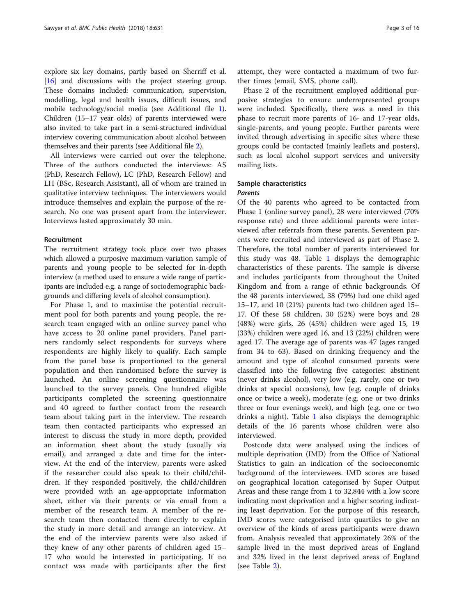explore six key domains, partly based on Sherriff et al. [[16](#page-15-0)] and discussions with the project steering group. These domains included: communication, supervision, modelling, legal and health issues, difficult issues, and mobile technology/social media (see Additional file [1](#page-14-0)). Children (15–17 year olds) of parents interviewed were also invited to take part in a semi-structured individual interview covering communication about alcohol between themselves and their parents (see Additional file [2](#page-14-0)).

All interviews were carried out over the telephone. Three of the authors conducted the interviews: AS (PhD, Research Fellow), LC (PhD, Research Fellow) and LH (BSc, Research Assistant), all of whom are trained in qualitative interview techniques. The interviewers would introduce themselves and explain the purpose of the research. No one was present apart from the interviewer. Interviews lasted approximately 30 min.

#### Recruitment

The recruitment strategy took place over two phases which allowed a purposive maximum variation sample of parents and young people to be selected for in-depth interview (a method used to ensure a wide range of participants are included e.g. a range of sociodemographic backgrounds and differing levels of alcohol consumption).

For Phase 1, and to maximise the potential recruitment pool for both parents and young people, the research team engaged with an online survey panel who have access to 20 online panel providers. Panel partners randomly select respondents for surveys where respondents are highly likely to qualify. Each sample from the panel base is proportioned to the general population and then randomised before the survey is launched. An online screening questionnaire was launched to the survey panels. One hundred eligible participants completed the screening questionnaire and 40 agreed to further contact from the research team about taking part in the interview. The research team then contacted participants who expressed an interest to discuss the study in more depth, provided an information sheet about the study (usually via email), and arranged a date and time for the interview. At the end of the interview, parents were asked if the researcher could also speak to their child/children. If they responded positively, the child/children were provided with an age-appropriate information sheet, either via their parents or via email from a member of the research team. A member of the research team then contacted them directly to explain the study in more detail and arrange an interview. At the end of the interview parents were also asked if they knew of any other parents of children aged 15– 17 who would be interested in participating. If no contact was made with participants after the first attempt, they were contacted a maximum of two further times (email, SMS, phone call).

Phase 2 of the recruitment employed additional purposive strategies to ensure underrepresented groups were included. Specifically, there was a need in this phase to recruit more parents of 16- and 17-year olds, single-parents, and young people. Further parents were invited through advertising in specific sites where these groups could be contacted (mainly leaflets and posters), such as local alcohol support services and university mailing lists.

# Sample characteristics

# Parents

Of the 40 parents who agreed to be contacted from Phase 1 (online survey panel), 28 were interviewed (70% response rate) and three additional parents were interviewed after referrals from these parents. Seventeen parents were recruited and interviewed as part of Phase 2. Therefore, the total number of parents interviewed for this study was 48. Table [1](#page-3-0) displays the demographic characteristics of these parents. The sample is diverse and includes participants from throughout the United Kingdom and from a range of ethnic backgrounds. Of the 48 parents interviewed, 38 (79%) had one child aged 15–17, and 10 (21%) parents had two children aged 15– 17. Of these 58 children, 30 (52%) were boys and 28 (48%) were girls. 26 (45%) children were aged 15, 19 (33%) children were aged 16, and 13 (22%) children were aged 17. The average age of parents was 47 (ages ranged from 34 to 63). Based on drinking frequency and the amount and type of alcohol consumed parents were classified into the following five categories: abstinent (never drinks alcohol), very low (e.g. rarely, one or two drinks at special occasions), low (e.g. couple of drinks once or twice a week), moderate (e.g. one or two drinks three or four evenings week), and high (e.g. one or two drinks a night). Table [1](#page-3-0) also displays the demographic details of the 16 parents whose children were also interviewed.

Postcode data were analysed using the indices of multiple deprivation (IMD) from the Office of National Statistics to gain an indication of the socioeconomic background of the interviewees. IMD scores are based on geographical location categorised by Super Output Areas and these range from 1 to 32,844 with a low score indicating most deprivation and a higher scoring indicating least deprivation. For the purpose of this research, IMD scores were categorised into quartiles to give an overview of the kinds of areas participants were drawn from. Analysis revealed that approximately 26% of the sample lived in the most deprived areas of England and 32% lived in the least deprived areas of England (see Table [2\)](#page-3-0).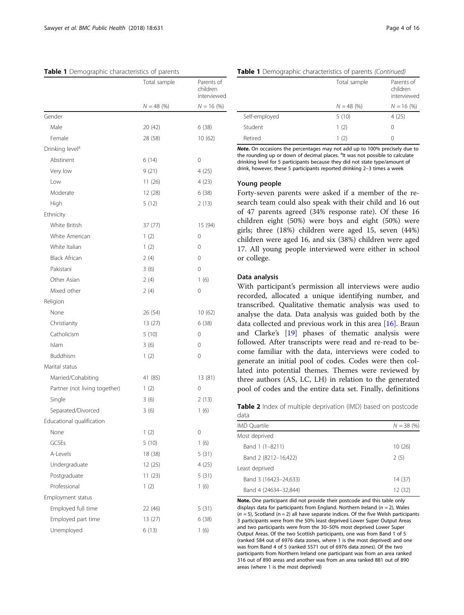#### <span id="page-3-0"></span>Table 1 Demographic characteristics of parents

|                               | Total sample | Parents of<br>children<br>interviewed |
|-------------------------------|--------------|---------------------------------------|
|                               | $N = 48$ (%) | $N = 16 \, (%)$                       |
| Gender                        |              |                                       |
| Male                          | 20 (42)      | 6(38)                                 |
| Female                        | 28 (58)      | 10(62)                                |
| Drinking level <sup>a</sup>   |              |                                       |
| Abstinent                     | 6(14)        | 0                                     |
| Very low                      | 9(21)        | 4(25)                                 |
| Low                           | 11(26)       | 4(23)                                 |
| Moderate                      | 12 (28)      | 6(38)                                 |
| High                          | 5 (12)       | 2(13)                                 |
| Ethnicity                     |              |                                       |
| White British                 | 37 (77)      | 15 (94)                               |
| White American                | 1(2)         | 0                                     |
| White Italian                 | 1(2)         | 0                                     |
| <b>Black African</b>          | 2 (4)        | 0                                     |
| Pakistani                     | 3 (6)        | 0                                     |
| Other Asian                   | 2(4)         | 1(6)                                  |
| Mixed other                   | 2(4)         | 0                                     |
| Religion                      |              |                                       |
| None                          | 26 (54)      | 10(62)                                |
| Christianity                  | 13 (27)      | 6(38)                                 |
| Catholicism                   | 5(10)        | 0                                     |
| Islam                         | 3(6)         | 0                                     |
| Buddhism                      | 1(2)         | 0                                     |
| Marital status                |              |                                       |
| Married/Cohabiting            | 41 (85)      | 13 (81)                               |
| Partner (not living together) | 1(2)         | 0                                     |
| Single                        | 3(6)         | 2(13)                                 |
| Separated/Divorced            | 3(6)         | 1(6)                                  |
| Educational qualification     |              |                                       |
| None                          | 1(2)         | 0                                     |
| GCSEs                         | 5(10)        | 1(6)                                  |
| A-Levels                      | 18 (38)      | 5(31)                                 |
| Undergraduate                 | 12 (25)      | 4 (25)                                |
| Postgraduate                  | 11(23)       | 5(31)                                 |
| Professional                  | 1(2)         | 1(6)                                  |
| Employment status             |              |                                       |
| Employed full time            | 22 (46)      | 5(31)                                 |
| Employed part time            | 13 (27)      | 6(38)                                 |
| Unemployed                    | 6(13)        | 1(6)                                  |
|                               |              |                                       |

|  |  |  |  | <b>Table 1</b> Demographic characteristics of parents (Continued) |  |  |
|--|--|--|--|-------------------------------------------------------------------|--|--|
|--|--|--|--|-------------------------------------------------------------------|--|--|

|               | Total sample | Parents of<br>children<br>interviewed |
|---------------|--------------|---------------------------------------|
|               | $N = 48$ (%) | $N = 16$ (%)                          |
| Self-employed | 5(10)        | 4(25)                                 |
| Student       | 1(2)         | 0                                     |
| Retired       | 1(2)         | 0                                     |

Note. On occasions the percentages may not add up to 100% precisely due to the rounding up or down of decimal places. <sup>a</sup>lt was not possible to calculate drinking level for 5 participants because they did not state type/amount of drink, however, these 5 participants reported drinking 2–3 times a week

#### Young people

Forty-seven parents were asked if a member of the research team could also speak with their child and 16 out of 47 parents agreed (34% response rate). Of these 16 children eight (50%) were boys and eight (50%) were girls; three (18%) children were aged 15, seven (44%) children were aged 16, and six (38%) children were aged 17. All young people interviewed were either in school or college.

#### Data analysis

With participant's permission all interviews were audio recorded, allocated a unique identifying number, and transcribed. Qualitative thematic analysis was used to analyse the data. Data analysis was guided both by the data collected and previous work in this area [[16\]](#page-15-0). Braun and Clarke's [[19\]](#page-15-0) phases of thematic analysis were followed. After transcripts were read and re-read to become familiar with the data, interviews were coded to generate an initial pool of codes. Codes were then collated into potential themes. Themes were reviewed by three authors (AS, LC, LH) in relation to the generated pool of codes and the entire data set. Finally, definitions

Table 2 Index of multiple deprivation (IMD) based on postcode data

| IMD Quartile<br>$N = 38(%)$ |         |
|-----------------------------|---------|
| Most deprived               |         |
| Band 1 (1-8211)             | 10(26)  |
| Band 2 (8212-16,422)        | 2(5)    |
| Least deprived              |         |
| Band 3 (16423-24,633)       | 14(37)  |
| Band 4 (24634-32,844)       | 12 (32) |

Note. One participant did not provide their postcode and this table only displays data for participants from England. Northern Ireland ( $n = 2$ ), Wales  $(n = 5)$ , Scotland  $(n = 2)$  all have separate indices. Of the five Welsh participants 3 participants were from the 50% least deprived Lower Super Output Areas and two participants were from the 30–50% most deprived Lower Super Output Areas. Of the two Scottish participants, one was from Band 1 of 5 (ranked 584 out of 6976 data zones, where 1 is the most deprived) and one was from Band 4 of 5 (ranked 5571 out of 6976 data zones). Of the two participants from Northern Ireland one participant was from an area ranked 316 out of 890 areas and another was from an area ranked 881 out of 890 areas (where 1 is the most deprived)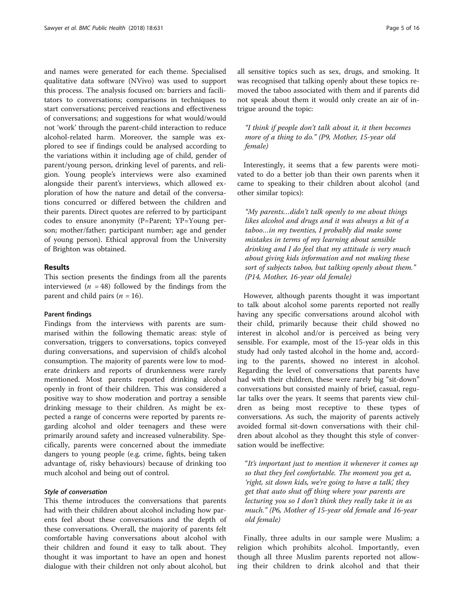and names were generated for each theme. Specialised qualitative data software (NVivo) was used to support this process. The analysis focused on: barriers and facilitators to conversations; comparisons in techniques to start conversations; perceived reactions and effectiveness of conversations; and suggestions for what would/would not 'work' through the parent-child interaction to reduce alcohol-related harm. Moreover, the sample was explored to see if findings could be analysed according to the variations within it including age of child, gender of parent/young person, drinking level of parents, and religion. Young people's interviews were also examined alongside their parent's interviews, which allowed exploration of how the nature and detail of the conversations concurred or differed between the children and their parents. Direct quotes are referred to by participant codes to ensure anonymity (P=Parent; YP=Young person; mother/father; participant number; age and gender of young person). Ethical approval from the University of Brighton was obtained.

# Results

This section presents the findings from all the parents interviewed ( $n = 48$ ) followed by the findings from the parent and child pairs ( $n = 16$ ).

#### Parent findings

Findings from the interviews with parents are summarised within the following thematic areas: style of conversation, triggers to conversations, topics conveyed during conversations, and supervision of child's alcohol consumption. The majority of parents were low to moderate drinkers and reports of drunkenness were rarely mentioned. Most parents reported drinking alcohol openly in front of their children. This was considered a positive way to show moderation and portray a sensible drinking message to their children. As might be expected a range of concerns were reported by parents regarding alcohol and older teenagers and these were primarily around safety and increased vulnerability. Specifically, parents were concerned about the immediate dangers to young people (e.g. crime, fights, being taken advantage of, risky behaviours) because of drinking too much alcohol and being out of control.

# Style of conversation

This theme introduces the conversations that parents had with their children about alcohol including how parents feel about these conversations and the depth of these conversations. Overall, the majority of parents felt comfortable having conversations about alcohol with their children and found it easy to talk about. They thought it was important to have an open and honest dialogue with their children not only about alcohol, but all sensitive topics such as sex, drugs, and smoking. It was recognised that talking openly about these topics removed the taboo associated with them and if parents did not speak about them it would only create an air of intrigue around the topic:

"I think if people don't talk about it, it then becomes more of a thing to do." (P9, Mother, 15-year old female)

Interestingly, it seems that a few parents were motivated to do a better job than their own parents when it came to speaking to their children about alcohol (and other similar topics):

"My parents…didn't talk openly to me about things likes alcohol and drugs and it was always a bit of a taboo…in my twenties, I probably did make some mistakes in terms of my learning about sensible drinking and I do feel that my attitude is very much about giving kids information and not making these sort of subjects taboo, but talking openly about them." (P14, Mother, 16-year old female)

However, although parents thought it was important to talk about alcohol some parents reported not really having any specific conversations around alcohol with their child, primarily because their child showed no interest in alcohol and/or is perceived as being very sensible. For example, most of the 15-year olds in this study had only tasted alcohol in the home and, according to the parents, showed no interest in alcohol. Regarding the level of conversations that parents have had with their children, these were rarely big "sit-down" conversations but consisted mainly of brief, casual, regular talks over the years. It seems that parents view children as being most receptive to these types of conversations. As such, the majority of parents actively avoided formal sit-down conversations with their children about alcohol as they thought this style of conversation would be ineffective:

"It's important just to mention it whenever it comes up so that they feel comfortable. The moment you get a, 'right, sit down kids, we're going to have a talk', they get that auto shut off thing where your parents are lecturing you so I don't think they really take it in as much." (P6, Mother of 15-year old female and 16-year old female)

Finally, three adults in our sample were Muslim; a religion which prohibits alcohol. Importantly, even though all three Muslim parents reported not allowing their children to drink alcohol and that their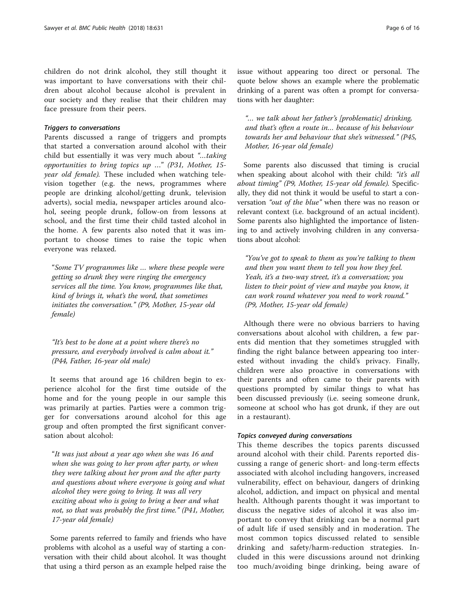children do not drink alcohol, they still thought it was important to have conversations with their children about alcohol because alcohol is prevalent in our society and they realise that their children may face pressure from their peers.

## Triggers to conversations

Parents discussed a range of triggers and prompts that started a conversation around alcohol with their child but essentially it was very much about "…taking opportunities to bring topics up …" (P31, Mother, 15 year old female). These included when watching television together (e.g. the news, programmes where people are drinking alcohol/getting drunk, television adverts), social media, newspaper articles around alcohol, seeing people drunk, follow-on from lessons at school, and the first time their child tasted alcohol in the home. A few parents also noted that it was important to choose times to raise the topic when everyone was relaxed.

"Some TV programmes like … where these people were getting so drunk they were ringing the emergency services all the time. You know, programmes like that, kind of brings it, what's the word, that sometimes initiates the conversation." (P9, Mother, 15-year old female)

"It's best to be done at a point where there's no pressure, and everybody involved is calm about it." (P44, Father, 16-year old male)

It seems that around age 16 children begin to experience alcohol for the first time outside of the home and for the young people in our sample this was primarily at parties. Parties were a common trigger for conversations around alcohol for this age group and often prompted the first significant conversation about alcohol:

"It was just about a year ago when she was 16 and when she was going to her prom after party, or when they were talking about her prom and the after party and questions about where everyone is going and what alcohol they were going to bring. It was all very exciting about who is going to bring a beer and what not, so that was probably the first time." (P41, Mother, 17-year old female)

Some parents referred to family and friends who have problems with alcohol as a useful way of starting a conversation with their child about alcohol. It was thought that using a third person as an example helped raise the issue without appearing too direct or personal. The quote below shows an example where the problematic drinking of a parent was often a prompt for conversations with her daughter:

"… we talk about her father's [problematic] drinking, and that's often a route in… because of his behaviour towards her and behaviour that she's witnessed." (P45, Mother, 16-year old female)

Some parents also discussed that timing is crucial when speaking about alcohol with their child: "it's all about timing" (P9, Mother, 15-year old female). Specifically, they did not think it would be useful to start a conversation "out of the blue" when there was no reason or relevant context (i.e. background of an actual incident). Some parents also highlighted the importance of listening to and actively involving children in any conversations about alcohol:

"You've got to speak to them as you're talking to them and then you want them to tell you how they feel. Yeah, it's a two-way street, it's a conversation; you listen to their point of view and maybe you know, it can work round whatever you need to work round." (P9, Mother, 15-year old female)

Although there were no obvious barriers to having conversations about alcohol with children, a few parents did mention that they sometimes struggled with finding the right balance between appearing too interested without invading the child's privacy. Finally, children were also proactive in conversations with their parents and often came to their parents with questions prompted by similar things to what has been discussed previously (i.e. seeing someone drunk, someone at school who has got drunk, if they are out in a restaurant).

# Topics conveyed during conversations

This theme describes the topics parents discussed around alcohol with their child. Parents reported discussing a range of generic short- and long-term effects associated with alcohol including hangovers, increased vulnerability, effect on behaviour, dangers of drinking alcohol, addiction, and impact on physical and mental health. Although parents thought it was important to discuss the negative sides of alcohol it was also important to convey that drinking can be a normal part of adult life if used sensibly and in moderation. The most common topics discussed related to sensible drinking and safety/harm-reduction strategies. Included in this were discussions around not drinking too much/avoiding binge drinking, being aware of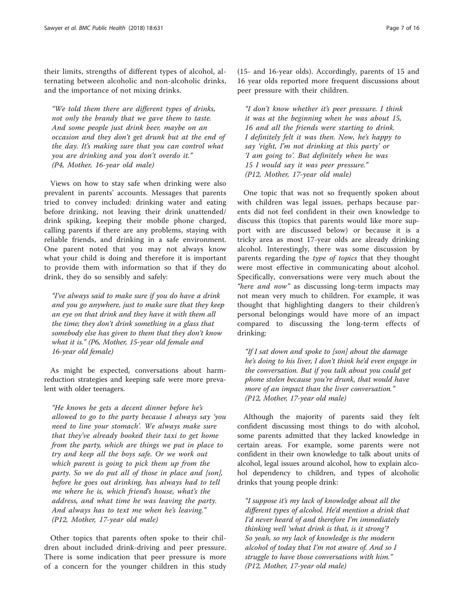their limits, strengths of different types of alcohol, alternating between alcoholic and non-alcoholic drinks, and the importance of not mixing drinks.

"We told them there are different types of drinks, not only the brandy that we gave them to taste. And some people just drink beer, maybe on an occasion and they don't get drunk but at the end of the day. It's making sure that you can control what you are drinking and you don't overdo it." (P4, Mother, 16-year old male)

Views on how to stay safe when drinking were also prevalent in parents' accounts. Messages that parents tried to convey included: drinking water and eating before drinking, not leaving their drink unattended/ drink spiking, keeping their mobile phone charged, calling parents if there are any problems, staying with reliable friends, and drinking in a safe environment. One parent noted that you may not always know what your child is doing and therefore it is important to provide them with information so that if they do drink, they do so sensibly and safely:

"I've always said to make sure if you do have a drink and you go anywhere, just to make sure that they keep an eye on that drink and they have it with them all the time; they don't drink something in a glass that somebody else has given to them that they don't know what it is." (P6, Mother, 15-year old female and 16-year old female)

As might be expected, conversations about harmreduction strategies and keeping safe were more prevalent with older teenagers.

"He knows he gets a decent dinner before he's allowed to go to the party because I always say 'you need to line your stomach'. We always make sure that they've already booked their taxi to get home from the party, which are things we put in place to try and keep all the boys safe. Or we work out which parent is going to pick them up from the party. So we do put all of those in place and [son], before he goes out drinking, has always had to tell me where he is, which friend's house, what's the address, and what time he was leaving the party. And always has to text me when he's leaving." (P12, Mother, 17-year old male)

Other topics that parents often spoke to their children about included drink-driving and peer pressure. There is some indication that peer pressure is more of a concern for the younger children in this study (15- and 16-year olds). Accordingly, parents of 15 and 16 year olds reported more frequent discussions about peer pressure with their children.

"I don't know whether it's peer pressure. I think it was at the beginning when he was about 15, 16 and all the friends were starting to drink. I definitely felt it was then. Now, he's happy to say 'right, I'm not drinking at this party' or 'I am going to'. But definitely when he was 15 I would say it was peer pressure." (P12, Mother, 17-year old male)

One topic that was not so frequently spoken about with children was legal issues, perhaps because parents did not feel confident in their own knowledge to discuss this (topics that parents would like more support with are discussed below) or because it is a tricky area as most 17-year olds are already drinking alcohol. Interestingly, there was some discussion by parents regarding the type of topics that they thought were most effective in communicating about alcohol. Specifically, conversations were very much about the "here and now" as discussing long-term impacts may not mean very much to children. For example, it was thought that highlighting dangers to their children's personal belongings would have more of an impact compared to discussing the long-term effects of drinking:

"If I sat down and spoke to [son] about the damage he's doing to his liver, I don't think he'd even engage in the conversation. But if you talk about you could get phone stolen because you're drunk, that would have more of an impact than the liver conversation." (P12, Mother, 17-year old male)

Although the majority of parents said they felt confident discussing most things to do with alcohol, some parents admitted that they lacked knowledge in certain areas. For example, some parents were not confident in their own knowledge to talk about units of alcohol, legal issues around alcohol, how to explain alcohol dependency to children, and types of alcoholic drinks that young people drink:

"I suppose it's my lack of knowledge about all the different types of alcohol. He'd mention a drink that I'd never heard of and therefore I'm immediately thinking well 'what drink is that, is it strong'? So yeah, so my lack of knowledge is the modern alcohol of today that I'm not aware of. And so I struggle to have those conversations with him." (P12, Mother, 17-year old male)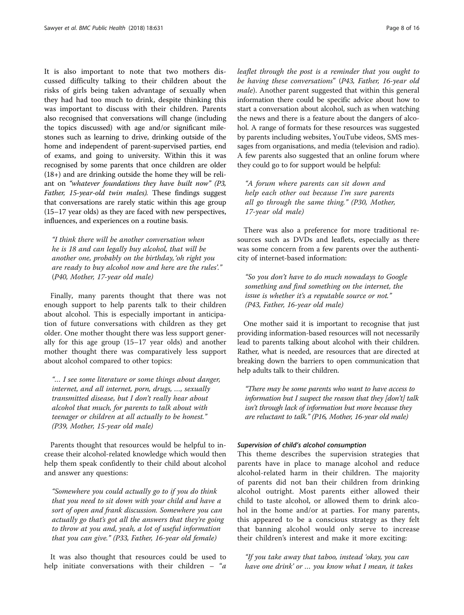It is also important to note that two mothers discussed difficulty talking to their children about the risks of girls being taken advantage of sexually when they had had too much to drink, despite thinking this was important to discuss with their children. Parents also recognised that conversations will change (including the topics discussed) with age and/or significant milestones such as learning to drive, drinking outside of the home and independent of parent-supervised parties, end of exams, and going to university. Within this it was recognised by some parents that once children are older (18+) and are drinking outside the home they will be reliant on "whatever foundations they have built now" (P3, Father, 15-year-old twin males). These findings suggest that conversations are rarely static within this age group (15–17 year olds) as they are faced with new perspectives, influences, and experiences on a routine basis.

"I think there will be another conversation when he is 18 and can legally buy alcohol, that will be another one, probably on the birthday, 'oh right you are ready to buy alcohol now and here are the rules'." (P40, Mother, 17-year old male)

Finally, many parents thought that there was not enough support to help parents talk to their children about alcohol. This is especially important in anticipation of future conversations with children as they get older. One mother thought there was less support generally for this age group (15–17 year olds) and another mother thought there was comparatively less support about alcohol compared to other topics:

"… I see some literature or some things about danger, internet, and all internet, porn, drugs, …, sexually transmitted disease, but I don't really hear about alcohol that much, for parents to talk about with teenager or children at all actually to be honest." (P39, Mother, 15-year old male)

Parents thought that resources would be helpful to increase their alcohol-related knowledge which would then help them speak confidently to their child about alcohol and answer any questions:

"Somewhere you could actually go to if you do think that you need to sit down with your child and have a sort of open and frank discussion. Somewhere you can actually go that's got all the answers that they're going to throw at you and, yeah, a lot of useful information that you can give." (P33, Father, 16-year old female)

It was also thought that resources could be used to help initiate conversations with their children – " $a$  leaflet through the post is a reminder that you ought to be having these conversations" (P43, Father, 16-year old male). Another parent suggested that within this general information there could be specific advice about how to start a conversation about alcohol, such as when watching the news and there is a feature about the dangers of alcohol. A range of formats for these resources was suggested by parents including websites, YouTube videos, SMS messages from organisations, and media (television and radio). A few parents also suggested that an online forum where they could go to for support would be helpful:

"A forum where parents can sit down and help each other out because I'm sure parents all go through the same thing." (P30, Mother, 17-year old male)

There was also a preference for more traditional resources such as DVDs and leaflets, especially as there was some concern from a few parents over the authenticity of internet-based information:

"So you don't have to do much nowadays to Google something and find something on the internet, the issue is whether it's a reputable source or not." (P43, Father, 16-year old male)

One mother said it is important to recognise that just providing information-based resources will not necessarily lead to parents talking about alcohol with their children. Rather, what is needed, are resources that are directed at breaking down the barriers to open communication that help adults talk to their children.

"There may be some parents who want to have access to information but I suspect the reason that they [don't] talk isn't through lack of information but more because they are reluctant to talk." (P16, Mother, 16-year old male)

# Supervision of child's alcohol consumption

This theme describes the supervision strategies that parents have in place to manage alcohol and reduce alcohol-related harm in their children. The majority of parents did not ban their children from drinking alcohol outright. Most parents either allowed their child to taste alcohol, or allowed them to drink alcohol in the home and/or at parties. For many parents, this appeared to be a conscious strategy as they felt that banning alcohol would only serve to increase their children's interest and make it more exciting:

"If you take away that taboo, instead 'okay, you can have one drink' or … you know what I mean, it takes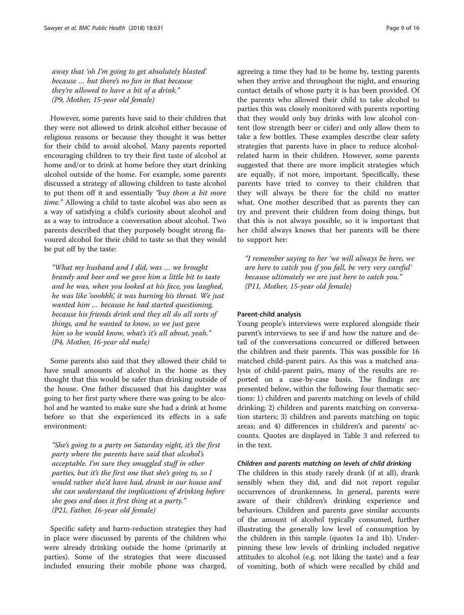away that 'oh I'm going to get absolutely blasted' because … but there's no fun in that because they're allowed to have a bit of a drink." (P9, Mother, 15-year old female)

However, some parents have said to their children that they were not allowed to drink alcohol either because of religious reasons or because they thought it was better for their child to avoid alcohol. Many parents reported encouraging children to try their first taste of alcohol at home and/or to drink at home before they start drinking alcohol outside of the home. For example, some parents discussed a strategy of allowing children to taste alcohol to put them off it and essentially "buy them a bit more time." Allowing a child to taste alcohol was also seen as a way of satisfying a child's curiosity about alcohol and as a way to introduce a conversation about alcohol. Two parents described that they purposely bought strong flavoured alcohol for their child to taste so that they would be put off by the taste:

"What my husband and I did, was … we brought brandy and beer and we gave him a little bit to taste and he was, when you looked at his face, you laughed, he was like 'ooohhh', it was burning his throat. We just wanted him … because he had started questioning, because his friends drink and they all do all sorts of things, and he wanted to know, so we just gave him so he would know, what's it's all about, yeah." (P4, Mother, 16-year old male)

Some parents also said that they allowed their child to have small amounts of alcohol in the home as they thought that this would be safer than drinking outside of the house. One father discussed that his daughter was going to her first party where there was going to be alcohol and he wanted to make sure she had a drink at home before so that she experienced its effects in a safe environment:

"She's going to a party on Saturday night, it's the first party where the parents have said that alcohol's acceptable. I'm sure they smuggled stuff in other parties, but it's the first one that she's going to, so I would rather she'd have had, drunk in our house and she can understand the implications of drinking before she goes and does it first thing at a party." (P21, Father, 16-year old female)

Specific safety and harm-reduction strategies they had in place were discussed by parents of the children who were already drinking outside the home (primarily at parties). Some of the strategies that were discussed included ensuring their mobile phone was charged,

agreeing a time they had to be home by, texting parents when they arrive and throughout the night, and ensuring contact details of whose party it is has been provided. Of the parents who allowed their child to take alcohol to parties this was closely monitored with parents reporting that they would only buy drinks with low alcohol content (low strength beer or cider) and only allow them to take a few bottles. These examples describe clear safety strategies that parents have in place to reduce alcoholrelated harm in their children. However, some parents suggested that there are more implicit strategies which are equally, if not more, important. Specifically, these parents have tried to convey to their children that they will always be there for the child no matter what. One mother described that as parents they can try and prevent their children from doing things, but that this is not always possible, so it is important that her child always knows that her parents will be there to support her:

"I remember saying to her 'we will always be here, we are here to catch you if you fall, be very very careful' because ultimately we are just here to catch you." (P11, Mother, 15-year old female)

#### Parent-child analysis

Young people's interviews were explored alongside their parent's interviews to see if and how the nature and detail of the conversations concurred or differed between the children and their parents. This was possible for 16 matched child-parent pairs. As this was a matched analysis of child-parent pairs, many of the results are reported on a case-by-case basis. The findings are presented below, within the following four thematic sections: 1) children and parents matching on levels of child drinking; 2) children and parents matching on conversation starters; 3) children and parents matching on topic areas; and 4) differences in children's and parents' accounts. Quotes are displayed in Table [3](#page-9-0) and referred to in the text.

# Children and parents matching on levels of child drinking

The children in this study rarely drank (if at all), drank sensibly when they did, and did not report regular occurrences of drunkenness. In general, parents were aware of their children's drinking experience and behaviours. Children and parents gave similar accounts of the amount of alcohol typically consumed, further illustrating the generally low level of consumption by the children in this sample (quotes 1a and 1b). Underpinning these low levels of drinking included negative attitudes to alcohol (e.g. not liking the taste) and a fear of vomiting, both of which were recalled by child and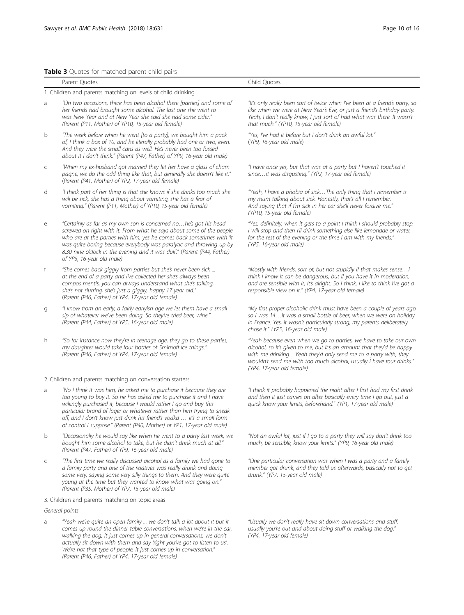# <span id="page-9-0"></span>Table 3 Quotes for matched parent-child pairs

We're not that type of people, it just comes up in conversation."

(Parent (P46, Father) of YP4, 17-year old female)

|           | gables for materica parent erma pairs                                                                                                                                                                                                                                                                                                                                                                                                     |                                                                                                                                                                                                                                                                                                                   |
|-----------|-------------------------------------------------------------------------------------------------------------------------------------------------------------------------------------------------------------------------------------------------------------------------------------------------------------------------------------------------------------------------------------------------------------------------------------------|-------------------------------------------------------------------------------------------------------------------------------------------------------------------------------------------------------------------------------------------------------------------------------------------------------------------|
|           | Parent Quotes                                                                                                                                                                                                                                                                                                                                                                                                                             | Child Quotes                                                                                                                                                                                                                                                                                                      |
|           | 1. Children and parents matching on levels of child drinking                                                                                                                                                                                                                                                                                                                                                                              |                                                                                                                                                                                                                                                                                                                   |
| a         | "On two occasions, there has been alcohol there [parties] and some of<br>her friends had brought some alcohol. The last one she went to<br>was New Year and at New Year she said she had some cider."<br>(Parent (P11, Mother) of YP10, 15-year old female)                                                                                                                                                                               | "It's only really been sort of twice when I've been at a friend's party, so<br>like when we were at New Year's Eve, or just a friend's birthday party.<br>Yeah, I don't really know, I just sort of had what was there. It wasn't<br>that much." (YP10, 15-year old female)                                       |
| b         | "The week before when he went [to a party], we bought him a pack<br>of, I think a box of 10, and he literally probably had one or two, even.<br>And they were the small cans as well. He's never been too fussed<br>about it I don't think." (Parent (P47, Father) of YP9, 16-year old male)                                                                                                                                              | "Yes, I've had it before but I don't drink an awful lot."<br>(YP9, 16-year old male)                                                                                                                                                                                                                              |
| $\subset$ | "When my ex-husband got married they let her have a glass of cham<br>pagne, we do the odd thing like that, but generally she doesn't like it."<br>(Parent (P41, Mother) of YP2, 17-year old female)                                                                                                                                                                                                                                       | "I have once yes, but that was at a party but I haven't touched it<br>sinceit was disgusting." (YP2, 17-year old female)                                                                                                                                                                                          |
| d         | "I think part of her thing is that she knows if she drinks too much she<br>will be sick, she has a thing about vomiting, she has a fear of<br>vomiting." (Parent (P11, Mother) of YP10, 15-year old female)                                                                                                                                                                                                                               | "Yeah, I have a phobia of sickThe only thing that I remember is<br>my mum talking about sick. Honestly, that's all I remember.<br>And saying that if I'm sick in her car she'll never forgive me."<br>(YP10, 15-year old female)                                                                                  |
| e         | "Certainly as far as my own son is concerned nohe's got his head<br>screwed on right with it. From what he says about some of the people<br>who are at the parties with him, yes he comes back sometimes with 'it<br>was quite boring because everybody was paralytic and throwing up by<br>8.30 nine o'clock in the evening and it was dull'." (Parent (P44, Father)<br>of YP5, 16-year old male)                                        | "Yes, definitely, when it gets to a point I think I should probably stop,<br>I will stop and then I'll drink something else like lemonade or water,<br>for the rest of the evening or the time I am with my friends."<br>(YP5, 16-year old male)                                                                  |
| f         | "She comes back giggly from parties but she's never been sick<br>at the end of a party and I've collected her she's always been<br>compos mentis, you can always understand what she's talking,<br>she's not slurring, she's just a giggly, happy 17 year old."<br>(Parent (P46, Father) of YP4, 17-year old female)                                                                                                                      | "Mostly with friends, sort of, but not stupidly if that makes sense I<br>think I know it can be dangerous, but if you have it in moderation,<br>and are sensible with it, it's alright. So I think, I like to think I've got a<br>responsible view on it." (YP4, 17-year old female)                              |
| g         | "I know from an early, a fairly earlyish age we let them have a small<br>sip of whatever we've been doing. So they've tried beer, wine."<br>(Parent (P44, Father) of YP5, 16-year old male)                                                                                                                                                                                                                                               | "My first proper alcoholic drink must have been a couple of years ago<br>so I was 14It was a small bottle of beer, when we were on holiday<br>in France. Yes, it wasn't particularly strong, my parents deliberately<br>chose it." (YP5, 16-year old male)                                                        |
| h         | "So for instance now they're in teenage age, they go to these parties,<br>my daughter would take four bottles of Smirnoff Ice things."<br>(Parent (P46, Father) of YP4, 17-year old female)                                                                                                                                                                                                                                               | "Yeah because even when we go to parties, we have to take our own<br>alcohol, so it's given to me, but it's an amount that they'd be happy<br>with me drinkingYeah they'd only send me to a party with, they<br>wouldn't send me with too much alcohol, usually I have four drinks."<br>(YP4, 17-year old female) |
|           | 2. Children and parents matching on conversation starters                                                                                                                                                                                                                                                                                                                                                                                 |                                                                                                                                                                                                                                                                                                                   |
| a         | "No I think it was him, he asked me to purchase it because they are<br>too young to buy it. So he has asked me to purchase it and I have<br>willingly purchased it, because I would rather I go and buy this<br>particular brand of lager or whatever rather than him trying to sneak<br>off, and I don't know just drink his friend's vodka  it's a small form<br>of control I suppose." (Parent (P40, Mother) of YP1, 17-year old male) | "I think it probably happened the night after I first had my first drink<br>and then it just carries on after basically every time I go out, just a<br>quick know your limits, beforehand." (YP1, 17-year old male)                                                                                               |
| b         | "Occasionally he would say like when he went to a party last week, we<br>bought him some alcohol to take, but he didn't drink much at all."<br>(Parent (P47, Father) of YP9, 16-year old male)                                                                                                                                                                                                                                            | "Not an awful lot, just if I go to a party they will say don't drink too<br>much, be sensible, know your limits." (YP9, 16-year old male)                                                                                                                                                                         |
| $\subset$ | "The first time we really discussed alcohol as a family we had gone to<br>a family party and one of the relatives was really drunk and doing<br>some very, saying some very silly things to them. And they were quite<br>young at the time but they wanted to know what was going on."<br>(Parent (P35, Mother) of YP7, 15-year old male)                                                                                                 | "One particular conversation was when I was a party and a family<br>member got drunk, and they told us afterwards, basically not to get<br>drunk." (YP7, 15-year old male)                                                                                                                                        |
|           | 3. Children and parents matching on topic areas                                                                                                                                                                                                                                                                                                                                                                                           |                                                                                                                                                                                                                                                                                                                   |
|           | General points                                                                                                                                                                                                                                                                                                                                                                                                                            |                                                                                                                                                                                                                                                                                                                   |
| a         | "Yeah we're quite an open family  we don't talk a lot about it but it<br>comes up round the dinner table conversations, when we're in the car,<br>walking the dog, it just comes up in general conversations, we don't<br>actually sit down with them and say 'right you've got to listen to us'.                                                                                                                                         | "Usually we don't really have sit down conversations and stuff,<br>usually you're out and about doing stuff or walking the dog."<br>(YP4, 17-year old female)                                                                                                                                                     |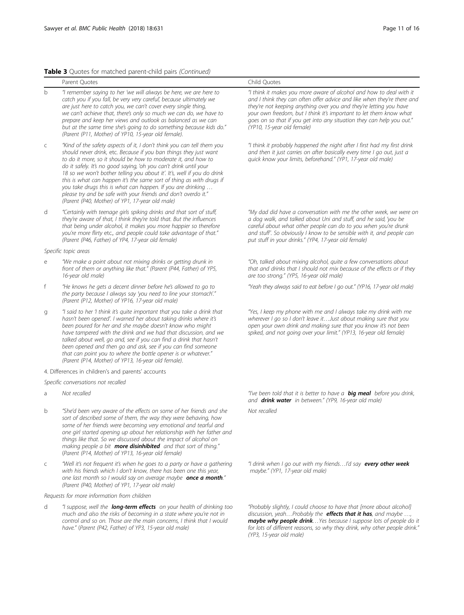# Table 3 Quotes for matched parent-child pairs (Continued)

|   | Parent Quotes                                                                                                                                                                                                                                                                                                                                                                                                                                                                                                                                                                                                            | Child Quotes                                                                                                                                                                                                                                                                                                                                                                                      |
|---|--------------------------------------------------------------------------------------------------------------------------------------------------------------------------------------------------------------------------------------------------------------------------------------------------------------------------------------------------------------------------------------------------------------------------------------------------------------------------------------------------------------------------------------------------------------------------------------------------------------------------|---------------------------------------------------------------------------------------------------------------------------------------------------------------------------------------------------------------------------------------------------------------------------------------------------------------------------------------------------------------------------------------------------|
| b | "I remember saying to her 'we will always be here, we are here to<br>catch you if you fall, be very very careful', because ultimately we<br>are just here to catch you, we can't cover every single thing,<br>we can't achieve that, there's only so much we can do, we have to<br>prepare and keep her views and outlook as balanced as we can<br>but at the same time she's going to do something because kids do."<br>(Parent (P11, Mother) of YP10, 15-year old female).                                                                                                                                             | "I think it makes you more aware of alcohol and how to deal with it<br>and I think they can often offer advice and like when they're there and<br>they're not keeping anything over you and they're letting you have<br>your own freedom, but I think it's important to let them know what<br>goes on so that if you get into any situation they can help you out."<br>(YP10, 15-year old female) |
| C | "Kind of the safety aspects of it, I don't think you can tell them you<br>should never drink, etc. Because if you ban things they just want<br>to do it more, so it should be how to moderate it, and how to<br>do it safely. It's no good saying, 'oh you can't drink until your<br>18 so we won't bother telling you about it'. It's, well if you do drink<br>this is what can happen it's the same sort of thing as with drugs if<br>you take drugs this is what can happen. If you are drinking<br>please try and be safe with your friends and don't overdo it."<br>(Parent (P40, Mother) of YP1, 17-year old male) | "I think it probably happened the night after I first had my first drink<br>and then it just carries on after basically every time I go out, just a<br>quick know your limits, beforehand." (YP1, 17-year old male)                                                                                                                                                                               |
| d | "Certainly with teenage girls spiking drinks and that sort of stuff,<br>they're aware of that, I think they're told that. But the influences<br>that being under alcohol, it makes you more happier so therefore<br>you're more flirty etc., and people could take advantage of that."<br>(Parent (P46, Father) of YP4, 17-year old female)                                                                                                                                                                                                                                                                              | "My dad did have a conversation with me the other week, we were on<br>a dog walk, and talked about Uni and stuff, and he said, 'you be<br>careful about what other people can do to you when you're drunk<br>and stuff'. So obviously I know to be sensible with it, and people can<br>put stuff in your drinks." (YP4, 17-year old female)                                                       |
|   | Specific topic areas                                                                                                                                                                                                                                                                                                                                                                                                                                                                                                                                                                                                     |                                                                                                                                                                                                                                                                                                                                                                                                   |
| е | "We make a point about not mixing drinks or getting drunk in<br>front of them or anything like that." (Parent (P44, Father) of YP5,<br>16-year old male)                                                                                                                                                                                                                                                                                                                                                                                                                                                                 | "Oh, talked about mixing alcohol, quite a few conversations about<br>that and drinks that I should not mix because of the effects or if they<br>are too strong." (YP5, 16-year old male)                                                                                                                                                                                                          |
| f | "He knows he gets a decent dinner before he's allowed to go to<br>the party because I always say 'you need to line your stomach'."<br>(Parent (P12, Mother) of YP16, 17-year old male)                                                                                                                                                                                                                                                                                                                                                                                                                                   | "Yeah they always said to eat before I go out." (YP16, 17-year old male)                                                                                                                                                                                                                                                                                                                          |
| g | "I said to her 'I think it's quite important that you take a drink that<br>hasn't been opened'. I warned her about taking drinks where it's<br>been poured for her and she maybe doesn't know who might<br>have tampered with the drink and we had that discussion, and we<br>talked about well, go and, see if you can find a drink that hasn't<br>been opened and then go and ask, see if you can find someone<br>that can point you to where the bottle opener is or whatever."<br>(Parent (P14, Mother) of YP13, 16-year old female).                                                                                | "Yes, I keep my phone with me and I always take my drink with me<br>wherever I go so I don't leave itJust about making sure that you<br>open your own drink and making sure that you know it's not been<br>spiked, and not going over your limit." (YP13, 16-year old female)                                                                                                                     |
|   | 4. Differences in children's and parents' accounts                                                                                                                                                                                                                                                                                                                                                                                                                                                                                                                                                                       |                                                                                                                                                                                                                                                                                                                                                                                                   |
|   | Specific conversations not recalled                                                                                                                                                                                                                                                                                                                                                                                                                                                                                                                                                                                      |                                                                                                                                                                                                                                                                                                                                                                                                   |
| a | Not recalled                                                                                                                                                                                                                                                                                                                                                                                                                                                                                                                                                                                                             | "I've been told that it is better to have a <b>big meal</b> before you drink,<br>and drink water in between." (YP9, 16-year old male)                                                                                                                                                                                                                                                             |
| b | "She'd been very aware of the effects on some of her friends and she<br>sort of described some of them, the way they were behaving, how<br>some of her friends were becoming very emotional and tearful and<br>one girl started opening up about her relationship with her father and<br>things like that. So we discussed about the impact of alcohol on<br>making people a bit more disinhibited and that sort of thing."<br>(Parent (P14, Mother) of YP13, 16-year old female)                                                                                                                                        | Not recalled                                                                                                                                                                                                                                                                                                                                                                                      |
| C | "Well it's not frequent it's when he goes to a party or have a gathering<br>with his friends which I don't know, there has been one this year,<br>one last month so I would say on average maybe once a month."<br>(Parent (P40, Mother) of YP1, 17-year old male)                                                                                                                                                                                                                                                                                                                                                       | "I drink when I go out with my friendsI'd say every other week<br>maybe." (YP1, 17-year old male)                                                                                                                                                                                                                                                                                                 |
|   | Requests for more information from children                                                                                                                                                                                                                                                                                                                                                                                                                                                                                                                                                                              |                                                                                                                                                                                                                                                                                                                                                                                                   |
| d | "I suppose, well the long-term effects on your health of drinking too<br>much and also the risks of becoming in a state where you're not in<br>control and so on. Those are the main concerns, I think that I would<br>have." (Parent (P42, Father) of YP3, 15-year old male)                                                                                                                                                                                                                                                                                                                                            | "Probably slightly, I could choose to have that [more about alcohol]<br>discussion, yeahProbably the <b>effects that it has</b> , and maybe ,<br>maybe why people drink Yes because I suppose lots of people do it<br>for lots of different reasons, so why they drink, why other people drink."<br>(YP3, 15-year old male)                                                                       |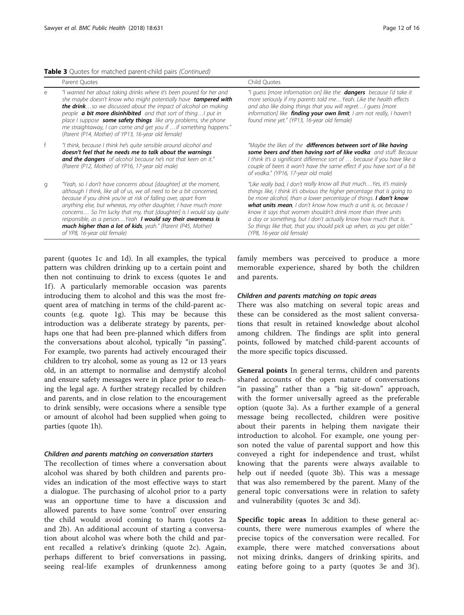# Table 3 Quotes for matched parent-child pairs (Continued)

|   | Parent Quotes                                                                                                                                                                                                                                                                                                                                                                                                                                                                                                      | Child Quotes                                                                                                                                                                                                                                                                                                                                                                                                                                                                                                                      |
|---|--------------------------------------------------------------------------------------------------------------------------------------------------------------------------------------------------------------------------------------------------------------------------------------------------------------------------------------------------------------------------------------------------------------------------------------------------------------------------------------------------------------------|-----------------------------------------------------------------------------------------------------------------------------------------------------------------------------------------------------------------------------------------------------------------------------------------------------------------------------------------------------------------------------------------------------------------------------------------------------------------------------------------------------------------------------------|
| e | "I warned her about taking drinks where it's been poured for her and<br>she maybe doesn't know who might potentially have tampered with<br><b>the drinkso</b> we discussed about the impact of alcohol on making<br>people <b>a bit more disinhibited</b> and that sort of thing I put in<br>place I suppose <b>some safety things</b> like any problems, she phone<br>me straightaway, I can come and get you if  if something happens."<br>(Parent (P14, Mother) of YP13, 16-year old female)                    | "I quess [more information on] like the <b>dangers</b> because I'd take it<br>more seriously if my parents told me Yeah. Like the health effects<br>and also like doing things that you will regret I quess [more<br>information] like <b>finding your own limit</b> , I am not really, I haven't<br>found mine yet." (YP13, 16-year old female)                                                                                                                                                                                  |
|   | "I think, because I think he's quite sensible around alcohol and<br>doesn't feel that he needs me to talk about the warnings<br>and the dangers of alcohol because he's not that keen on it."<br>(Parent (P12, Mother) of YP16, 17-year old male)                                                                                                                                                                                                                                                                  | "Maybe the likes of the <b>differences between sort of like having</b><br>some beers and then having sort of like vodka and stuff. Because<br>I think it's a significant difference sort of  because if you have like a<br>couple of beers it won't have the same effect if you have sort of a bit<br>of vodka." (YP16, 17-year old male)                                                                                                                                                                                         |
| g | "Yeah, so I don't have concerns about [daughter] at the moment,<br>although I think, like all of us, we all need to be a bit concerned,<br>because if you drink you're at risk of falling over, apart from<br>anything else, but whereas, my other daughter, I have much more<br>concerns So I'm lucky that my, that [daughter] is I would say quite<br>responsible, as a personYeah I would say their awareness is<br>much higher than a lot of kids, yeah." (Parent (P45, Mother)<br>of YP8, 16-year old female) | "Like really bad, I don't really know all that much Yes, it's mainly<br>things like, I think it's obvious the higher percentage that is going to<br>be more alcohol, than a lower percentage of things. I don't know<br>what units mean, I don't know how much a unit is, or, because I<br>know it says that women shouldn't drink more than three units<br>a day or something, but I don't actually know how much that is.<br>So things like that, that you should pick up when, as you get older."<br>(YP8, 16-year old female) |

parent (quotes 1c and 1d). In all examples, the typical pattern was children drinking up to a certain point and then not continuing to drink to excess (quotes 1e and 1f). A particularly memorable occasion was parents introducing them to alcohol and this was the most frequent area of matching in terms of the child-parent accounts (e.g. quote 1g). This may be because this introduction was a deliberate strategy by parents, perhaps one that had been pre-planned which differs from the conversations about alcohol, typically "in passing". For example, two parents had actively encouraged their children to try alcohol, some as young as 12 or 13 years old, in an attempt to normalise and demystify alcohol and ensure safety messages were in place prior to reaching the legal age. A further strategy recalled by children and parents, and in close relation to the encouragement to drink sensibly, were occasions where a sensible type or amount of alcohol had been supplied when going to parties (quote 1h).

#### Children and parents matching on conversation starters

The recollection of times where a conversation about alcohol was shared by both children and parents provides an indication of the most effective ways to start a dialogue. The purchasing of alcohol prior to a party was an opportune time to have a discussion and allowed parents to have some 'control' over ensuring the child would avoid coming to harm (quotes 2a and 2b). An additional account of starting a conversation about alcohol was where both the child and parent recalled a relative's drinking (quote 2c). Again, perhaps different to brief conversations in passing, seeing real-life examples of drunkenness among family members was perceived to produce a more memorable experience, shared by both the children and parents.

## Children and parents matching on topic areas

There was also matching on several topic areas and these can be considered as the most salient conversations that result in retained knowledge about alcohol among children. The findings are split into general points, followed by matched child-parent accounts of the more specific topics discussed.

General points In general terms, children and parents shared accounts of the open nature of conversations "in passing" rather than a "big sit-down" approach, with the former universally agreed as the preferable option (quote 3a). As a further example of a general message being recollected, children were positive about their parents in helping them navigate their introduction to alcohol. For example, one young person noted the value of parental support and how this conveyed a right for independence and trust, whilst knowing that the parents were always available to help out if needed (quote 3b). This was a message that was also remembered by the parent. Many of the general topic conversations were in relation to safety and vulnerability (quotes 3c and 3d).

Specific topic areas In addition to these general accounts, there were numerous examples of where the precise topics of the conversation were recalled. For example, there were matched conversations about not mixing drinks, dangers of drinking spirits, and eating before going to a party (quotes 3e and 3f).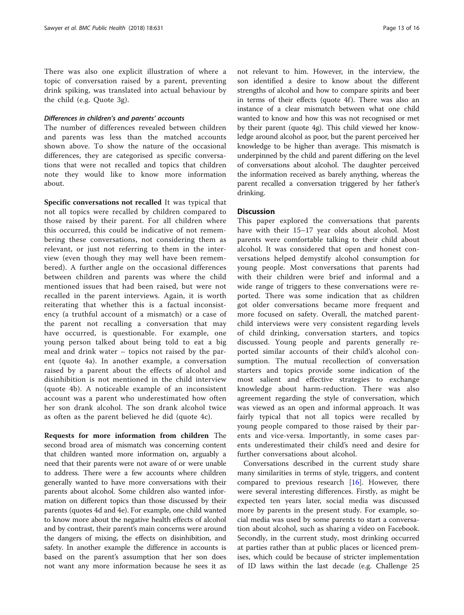There was also one explicit illustration of where a topic of conversation raised by a parent, preventing drink spiking, was translated into actual behaviour by the child (e.g. Quote 3g).

## Differences in children's and parents' accounts

The number of differences revealed between children and parents was less than the matched accounts shown above. To show the nature of the occasional differences, they are categorised as specific conversations that were not recalled and topics that children note they would like to know more information about.

Specific conversations not recalled It was typical that not all topics were recalled by children compared to those raised by their parent. For all children where this occurred, this could be indicative of not remembering these conversations, not considering them as relevant, or just not referring to them in the interview (even though they may well have been remembered). A further angle on the occasional differences between children and parents was where the child mentioned issues that had been raised, but were not recalled in the parent interviews. Again, it is worth reiterating that whether this is a factual inconsistency (a truthful account of a mismatch) or a case of the parent not recalling a conversation that may have occurred, is questionable. For example, one young person talked about being told to eat a big meal and drink water – topics not raised by the parent (quote 4a). In another example, a conversation raised by a parent about the effects of alcohol and disinhibition is not mentioned in the child interview (quote 4b). A noticeable example of an inconsistent account was a parent who underestimated how often her son drank alcohol. The son drank alcohol twice as often as the parent believed he did (quote 4c).

Requests for more information from children The second broad area of mismatch was concerning content that children wanted more information on, arguably a need that their parents were not aware of or were unable to address. There were a few accounts where children generally wanted to have more conversations with their parents about alcohol. Some children also wanted information on different topics than those discussed by their parents (quotes 4d and 4e). For example, one child wanted to know more about the negative health effects of alcohol and by contrast, their parent's main concerns were around the dangers of mixing, the effects on disinhibition, and safety. In another example the difference in accounts is based on the parent's assumption that her son does not want any more information because he sees it as

not relevant to him. However, in the interview, the son identified a desire to know about the different strengths of alcohol and how to compare spirits and beer in terms of their effects (quote 4f). There was also an instance of a clear mismatch between what one child wanted to know and how this was not recognised or met by their parent (quote 4g). This child viewed her knowledge around alcohol as poor, but the parent perceived her knowledge to be higher than average. This mismatch is underpinned by the child and parent differing on the level of conversations about alcohol. The daughter perceived the information received as barely anything, whereas the parent recalled a conversation triggered by her father's drinking.

# **Discussion**

This paper explored the conversations that parents have with their 15–17 year olds about alcohol. Most parents were comfortable talking to their child about alcohol. It was considered that open and honest conversations helped demystify alcohol consumption for young people. Most conversations that parents had with their children were brief and informal and a wide range of triggers to these conversations were reported. There was some indication that as children got older conversations became more frequent and more focused on safety. Overall, the matched parentchild interviews were very consistent regarding levels of child drinking, conversation starters, and topics discussed. Young people and parents generally reported similar accounts of their child's alcohol consumption. The mutual recollection of conversation starters and topics provide some indication of the most salient and effective strategies to exchange knowledge about harm-reduction. There was also agreement regarding the style of conversation, which was viewed as an open and informal approach. It was fairly typical that not all topics were recalled by young people compared to those raised by their parents and vice-versa. Importantly, in some cases parents underestimated their child's need and desire for further conversations about alcohol.

Conversations described in the current study share many similarities in terms of style, triggers, and content compared to previous research  $[16]$  $[16]$ . However, there were several interesting differences. Firstly, as might be expected ten years later, social media was discussed more by parents in the present study. For example, social media was used by some parents to start a conversation about alcohol, such as sharing a video on Facebook. Secondly, in the current study, most drinking occurred at parties rather than at public places or licenced premises, which could be because of stricter implementation of ID laws within the last decade (e.g. Challenge 25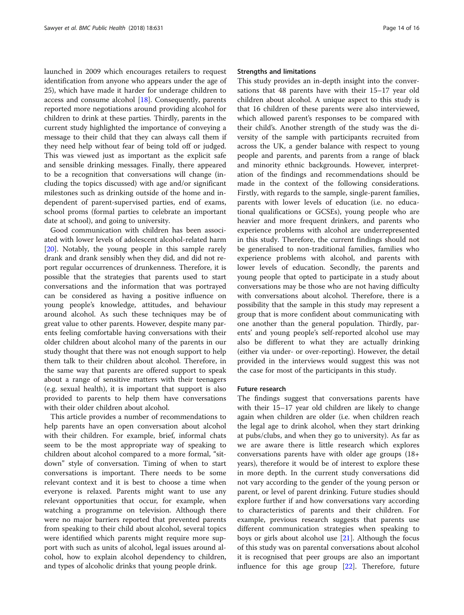launched in 2009 which encourages retailers to request identification from anyone who appears under the age of 25), which have made it harder for underage children to access and consume alcohol [\[18](#page-15-0)]. Consequently, parents reported more negotiations around providing alcohol for children to drink at these parties. Thirdly, parents in the current study highlighted the importance of conveying a message to their child that they can always call them if they need help without fear of being told off or judged. This was viewed just as important as the explicit safe and sensible drinking messages. Finally, there appeared to be a recognition that conversations will change (including the topics discussed) with age and/or significant milestones such as drinking outside of the home and independent of parent-supervised parties, end of exams, school proms (formal parties to celebrate an important date at school), and going to university.

Good communication with children has been associated with lower levels of adolescent alcohol-related harm [[20\]](#page-15-0). Notably, the young people in this sample rarely drank and drank sensibly when they did, and did not report regular occurrences of drunkenness. Therefore, it is possible that the strategies that parents used to start conversations and the information that was portrayed can be considered as having a positive influence on young people's knowledge, attitudes, and behaviour around alcohol. As such these techniques may be of great value to other parents. However, despite many parents feeling comfortable having conversations with their older children about alcohol many of the parents in our study thought that there was not enough support to help them talk to their children about alcohol. Therefore, in the same way that parents are offered support to speak about a range of sensitive matters with their teenagers (e.g. sexual health), it is important that support is also provided to parents to help them have conversations with their older children about alcohol.

This article provides a number of recommendations to help parents have an open conversation about alcohol with their children. For example, brief, informal chats seem to be the most appropriate way of speaking to children about alcohol compared to a more formal, "sitdown" style of conversation. Timing of when to start conversations is important. There needs to be some relevant context and it is best to choose a time when everyone is relaxed. Parents might want to use any relevant opportunities that occur, for example, when watching a programme on television. Although there were no major barriers reported that prevented parents from speaking to their child about alcohol, several topics were identified which parents might require more support with such as units of alcohol, legal issues around alcohol, how to explain alcohol dependency to children, and types of alcoholic drinks that young people drink.

## Strengths and limitations

This study provides an in-depth insight into the conversations that 48 parents have with their 15–17 year old children about alcohol. A unique aspect to this study is that 16 children of these parents were also interviewed, which allowed parent's responses to be compared with their child's. Another strength of the study was the diversity of the sample with participants recruited from across the UK, a gender balance with respect to young people and parents, and parents from a range of black and minority ethnic backgrounds. However, interpretation of the findings and recommendations should be made in the context of the following considerations. Firstly, with regards to the sample, single-parent families, parents with lower levels of education (i.e. no educational qualifications or GCSEs), young people who are heavier and more frequent drinkers, and parents who experience problems with alcohol are underrepresented in this study. Therefore, the current findings should not be generalised to non-traditional families, families who experience problems with alcohol, and parents with lower levels of education. Secondly, the parents and young people that opted to participate in a study about conversations may be those who are not having difficulty with conversations about alcohol. Therefore, there is a possibility that the sample in this study may represent a group that is more confident about communicating with one another than the general population. Thirdly, parents' and young people's self-reported alcohol use may also be different to what they are actually drinking (either via under- or over-reporting). However, the detail provided in the interviews would suggest this was not the case for most of the participants in this study.

## Future research

The findings suggest that conversations parents have with their 15–17 year old children are likely to change again when children are older (i.e. when children reach the legal age to drink alcohol, when they start drinking at pubs/clubs, and when they go to university). As far as we are aware there is little research which explores conversations parents have with older age groups (18+ years), therefore it would be of interest to explore these in more depth. In the current study conversations did not vary according to the gender of the young person or parent, or level of parent drinking. Future studies should explore further if and how conversations vary according to characteristics of parents and their children. For example, previous research suggests that parents use different communication strategies when speaking to boys or girls about alcohol use [[21\]](#page-15-0). Although the focus of this study was on parental conversations about alcohol it is recognised that peer groups are also an important influence for this age group [[22\]](#page-15-0). Therefore, future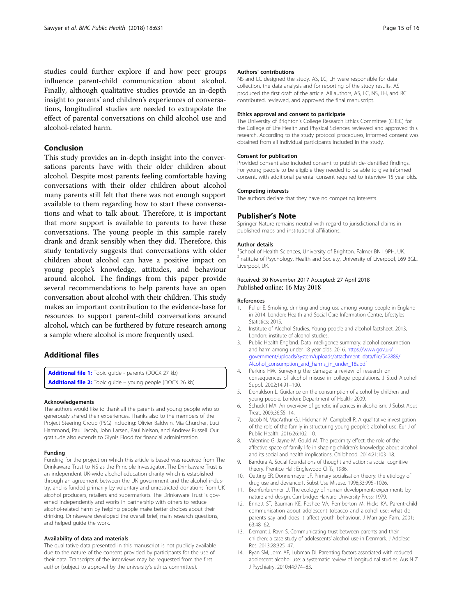<span id="page-14-0"></span>studies could further explore if and how peer groups influence parent-child communication about alcohol. Finally, although qualitative studies provide an in-depth insight to parents' and children's experiences of conversations, longitudinal studies are needed to extrapolate the effect of parental conversations on child alcohol use and alcohol-related harm.

# Conclusion

This study provides an in-depth insight into the conversations parents have with their older children about alcohol. Despite most parents feeling comfortable having conversations with their older children about alcohol many parents still felt that there was not enough support available to them regarding how to start these conversations and what to talk about. Therefore, it is important that more support is available to parents to have these conversations. The young people in this sample rarely drank and drank sensibly when they did. Therefore, this study tentatively suggests that conversations with older children about alcohol can have a positive impact on young people's knowledge, attitudes, and behaviour around alcohol. The findings from this paper provide several recommendations to help parents have an open conversation about alcohol with their children. This study makes an important contribution to the evidence-base for resources to support parent-child conversations around alcohol, which can be furthered by future research among a sample where alcohol is more frequently used.

# Additional files

[Additional file 1:](https://doi.org/10.1186/s12889-018-5525-3) Topic guide - parents (DOCX 27 kb) [Additional file 2:](https://doi.org/10.1186/s12889-018-5525-3) Topic guide - young people (DOCX 26 kb)

#### Acknowledgements

The authors would like to thank all the parents and young people who so generously shared their experiences. Thanks also to the members of the Project Steering Group (PSG) including: Olivier Baldwin, Mia Churcher, Luci Hammond, Paul Jacob, John Larsen, Paul Nelson, and Andrew Russell. Our gratitude also extends to Glynis Flood for financial administration.

#### Funding

Funding for the project on which this article is based was received from The Drinkaware Trust to NS as the Principle Investigator. The Drinkaware Trust is an independent UK-wide alcohol education charity which is established through an agreement between the UK government and the alcohol industry, and is funded primarily by voluntary and unrestricted donations from UK alcohol producers, retailers and supermarkets. The Drinkaware Trust is governed independently and works in partnership with others to reduce alcohol-related harm by helping people make better choices about their drinking. Drinkaware developed the overall brief, main research questions, and helped guide the work.

#### Availability of data and materials

The qualitative data presented in this manuscript is not publicly available due to the nature of the consent provided by participants for the use of their data. Transcripts of the interviews may be requested from the first author (subject to approval by the university's ethics committee).

#### Authors' contributions

NS and LC designed the study. AS, LC, LH were responsible for data collection, the data analysis and for reporting of the study results. AS produced the first draft of the article. All authors, AS, LC, NS, LH, and RC contributed, reviewed, and approved the final manuscript.

#### Ethics approval and consent to participate

The University of Brighton's College Research Ethics Committee (CREC) for the College of Life Health and Physical Sciences reviewed and approved this research. According to the study protocol procedures, informed consent was obtained from all individual participants included in the study.

#### Consent for publication

Provided consent also included consent to publish de-identified findings. For young people to be eligible they needed to be able to give informed consent, with additional parental consent required to interview 15 year olds.

#### Competing interests

The authors declare that they have no competing interests.

#### Publisher's Note

Springer Nature remains neutral with regard to jurisdictional claims in published maps and institutional affiliations.

#### Author details

<sup>1</sup>School of Health Sciences, University of Brighton, Falmer BN1 9PH, UK. <sup>2</sup>Institute of Psychology, Health and Society, University of Liverpool, L69 3GL Liverpool, UK.

### Received: 30 November 2017 Accepted: 27 April 2018 Published online: 16 May 2018

#### References

- 1. Fuller E. Smoking, drinking and drug use among young people in England in 2014. London: Health and Social Care Information Centre, Lifestyles Statistics: 2015.
- 2. Institute of Alcohol Studies. Young people and alcohol factsheet. 2013, London: institute of alcohol studies.
- 3. Public Health England. Data intelligence summary: alcohol consumption and harm among under 18 year olds. 2016, [https://www.gov.uk/](https://www.gov.uk/government/uploads/system/uploads/attachment_data/file/542889/Alcohol_consumption_and_harms_in_under_18s.pdf) [government/uploads/system/uploads/attachment\\_data/file/542889/](https://www.gov.uk/government/uploads/system/uploads/attachment_data/file/542889/Alcohol_consumption_and_harms_in_under_18s.pdf) [Alcohol\\_consumption\\_and\\_harms\\_in\\_under\\_18s.pdf](https://www.gov.uk/government/uploads/system/uploads/attachment_data/file/542889/Alcohol_consumption_and_harms_in_under_18s.pdf)
- 4. Perkins HW. Surveying the damage: a review of research on consequences of alcohol misuse in college populations. J Stud Alcohol Suppl. 2002;14:91–100.
- 5. Donaldson L. Guidance on the consumption of alcohol by children and young people. London: Department of Health; 2009.
- 6. Schuckit MA. An overview of genetic influences in alcoholism. J Subst Abus Treat. 2009;36:S5–14.
- 7. Jacob N, MacArthur GJ, Hickman M, Campbell R. A qualitative investigation of the role of the family in structuring young people's alcohol use. Eur J of Public Health. 2016;26:102–10.
- 8. Valentine G, Jayne M, Gould M. The proximity effect: the role of the affective space of family life in shaping children's knowledge about alcohol and its social and health implications. Childhood. 2014;21:103–18.
- 9. Bandura A. Social foundations of thought and action: a social cognitive theory. Prentice Hall: Englewood Cliffs; 1986.
- 10. Oetting ER, Donnermeyer JF. Primary socialisation theory: the etiology of drug use and deviance:1. Subst Use Misuse. 1998;33:995–1026.
- 11. Bronfenbrenner U. The ecology of human development: experiments by nature and design. Cambridge: Harvard University Press; 1979.
- 12. Ennett ST, Bauman KE, Foshee VA, Pemberton M, Hicks KA. Parent-child communication about adolescent tobacco and alcohol use: what do parents say and does it affect youth behaviour. J Marriage Fam. 2001; 63:48–62.
- 13. Demant J, Ravn S. Communicating trust between parents and their children: a case study of adolescents' alcohol use in Denmark. J Adolesc Res. 2013;28:325–47.
- 14. Ryan SM, Jorm AF, Lubman DI. Parenting factors associated with reduced adolescent alcohol use: a systematic review of longitudinal studies. Aus N Z J Psychiatry. 2010;44:774–83.